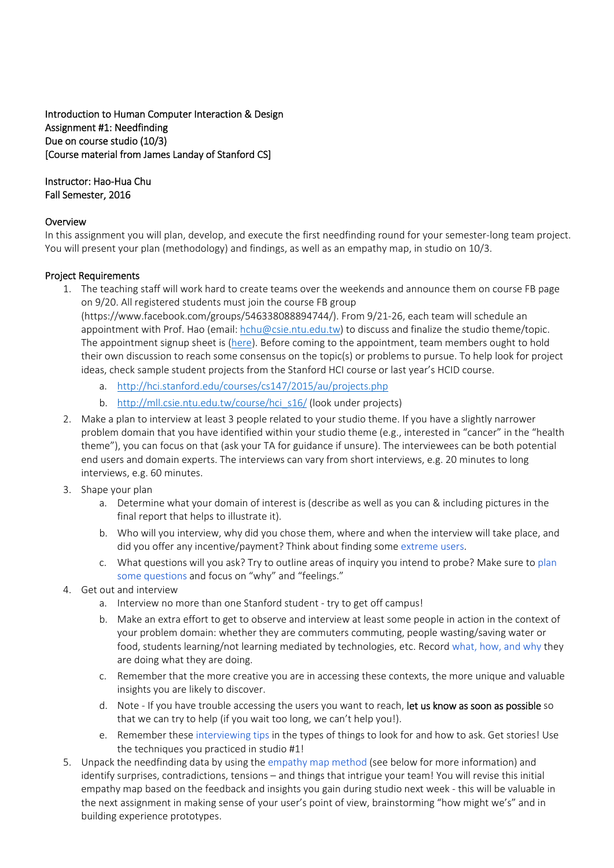# Introduction to Human Computer Interaction & Design Assignment #1: Needfinding Due on course studio (10/3) [Course material from James Landay of Stanford CS]

### Instructor: Hao‐Hua Chu Fall Semester, 2016

## Overview

In this assignment you will plan, develop, and execute the first needfinding round for your semester-long team project. You will present your plan (methodology) and findings, as well as an empathy map, in studio on 10/3.

## Project Requirements

1. The teaching staff will work hard to create teams over the weekends and announce them on course FB page on 9/20. All registered students must join the course FB group

(https://www.facebook.com/groups/546338088894744/). From 9/21‐26, each team will schedule an appointment with Prof. Hao (email: hchu@csie.ntu.edu.tw) to discuss and finalize the studio theme/topic. The appointment signup sheet is (here). Before coming to the appointment, team members ought to hold their own discussion to reach some consensus on the topic(s) or problems to pursue. To help look for project ideas, check sample student projects from the Stanford HCI course or last year's HCID course.

- a. http://hci.stanford.edu/courses/cs147/2015/au/projects.php
- b. http://mll.csie.ntu.edu.tw/course/hci\_s16/ (look under projects)
- 2. Make a plan to interview at least 3 people related to your studio theme. If you have a slightly narrower problem domain that you have identified within your studio theme (e.g., interested in "cancer" in the "health theme"), you can focus on that (ask your TA for guidance if unsure). The interviewees can be both potential end users and domain experts. The interviews can vary from short interviews, e.g. 20 minutes to long interviews, e.g. 60 minutes.
- 3. Shape your plan
	- a. Determine what your domain of interest is (describe as well as you can & including pictures in the final report that helps to illustrate it).
	- b. Who will you interview, why did you chose them, where and when the interview will take place, and did you offer any incentive/payment? Think about finding some extreme users.
	- c. What questions will you ask? Try to outline areas of inquiry you intend to probe? Make sure to plan some questions and focus on "why" and "feelings."
- 4. Get out and interview
	- a. Interview no more than one Stanford student ‐ try to get off campus!
	- b. Make an extra effort to get to observe and interview at least some people in action in the context of your problem domain: whether they are commuters commuting, people wasting/saving water or food, students learning/not learning mediated by technologies, etc. Record what, how, and why they are doing what they are doing.
	- c. Remember that the more creative you are in accessing these contexts, the more unique and valuable insights you are likely to discover.
	- d. Note If you have trouble accessing the users you want to reach, let us know as soon as possible so that we can try to help (if you wait too long, we can't help you!).
	- e. Remember these interviewing tips in the types of things to look for and how to ask. Get stories! Use the techniques you practiced in studio #1!
- 5. Unpack the needfinding data by using the empathy map method (see below for more information) and identify surprises, contradictions, tensions – and things that intrigue your team! You will revise this initial empathy map based on the feedback and insights you gain during studio next week ‐ this will be valuable in the next assignment in making sense of your user's point of view, brainstorming "how might we's" and in building experience prototypes.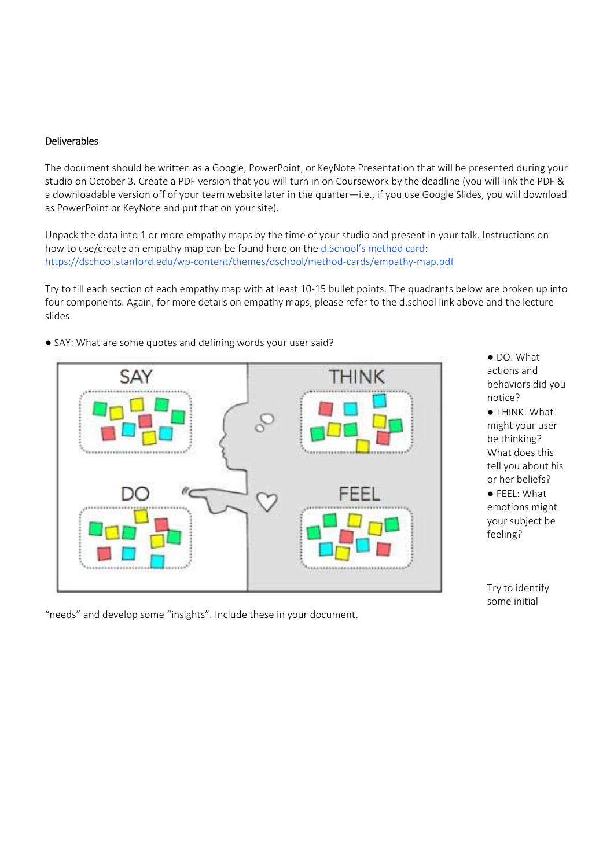## Deliverables

The document should be written as a Google, PowerPoint, or KeyNote Presentation that will be presented during your studio on October 3. Create a PDF version that you will turn in on Coursework by the deadline (you will link the PDF & a downloadable version off of your team website later in the quarter—i.e., if you use Google Slides, you will download as PowerPoint or KeyNote and put that on your site).

Unpack the data into 1 or more empathy maps by the time of your studio and present in your talk. Instructions on how to use/create an empathy map can be found here on the d.School's method card: https://dschool.stanford.edu/wp‐content/themes/dschool/method‐cards/empathy‐map.pdf

Try to fill each section of each empathy map with at least 10‐15 bullet points. The quadrants below are broken up into four components. Again, for more details on empathy maps, please refer to the d.school link above and the lecture slides.



● SAY: What are some quotes and defining words your user said?

"needs" and develop some "insights". Include these in your document.

● DO: What actions and behaviors did you notice? ● THINK: What

might your user be thinking? What does this tell you about his or her beliefs?

● FEEL: What emotions might your subject be feeling?

Try to identify some initial